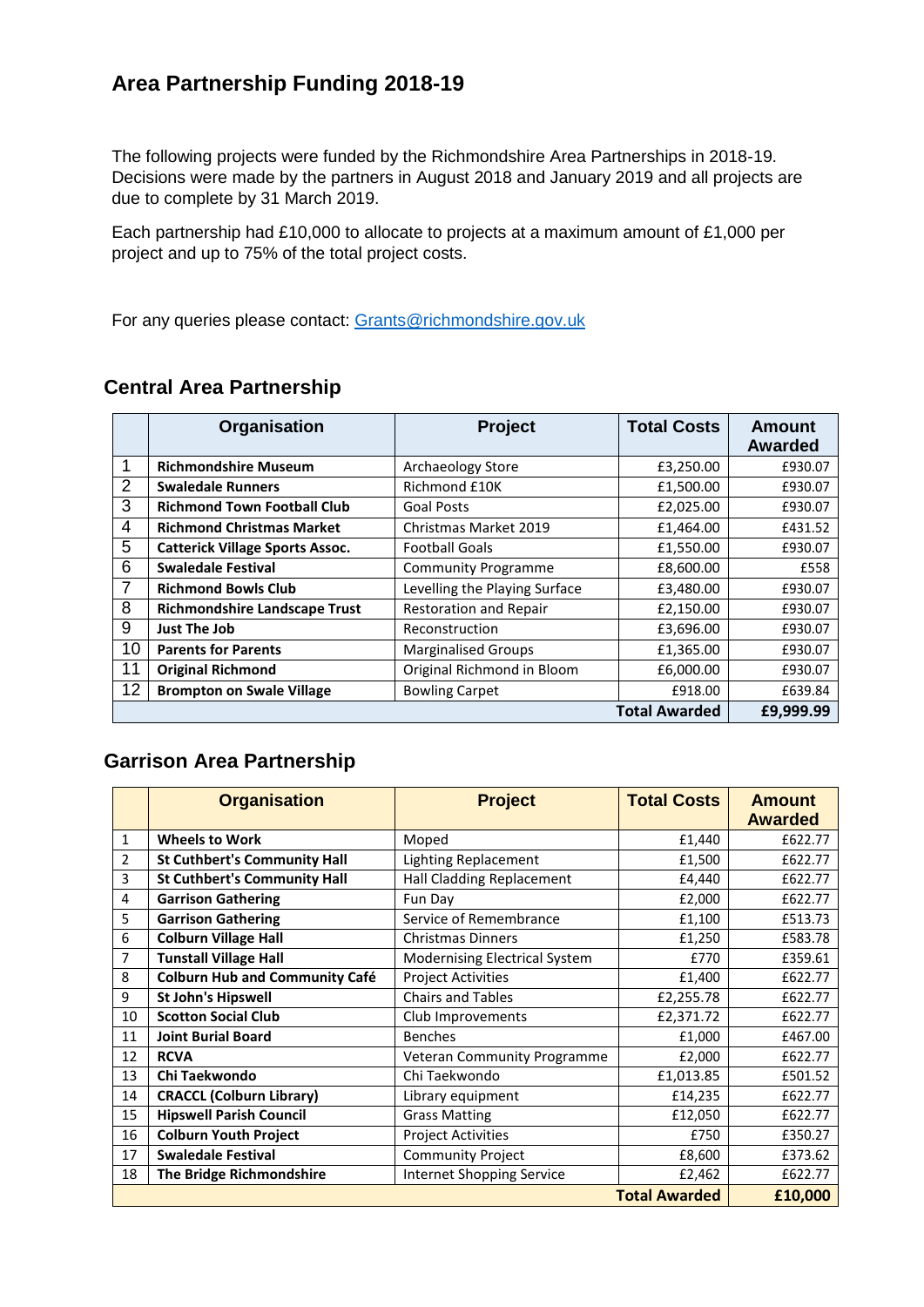#### **Area Partnership Funding 2018-19**

The following projects were funded by the Richmondshire Area Partnerships in 2018-19. Decisions were made by the partners in August 2018 and January 2019 and all projects are due to complete by 31 March 2019.

Each partnership had £10,000 to allocate to projects at a maximum amount of £1,000 per project and up to 75% of the total project costs.

For any queries please contact: [Grants@richmondshire.gov.uk](mailto:Grants@richmondshire.gov.uk)

|                | Organisation                           | Project                       | <b>Total Costs</b> | <b>Amount</b><br><b>Awarded</b> |
|----------------|----------------------------------------|-------------------------------|--------------------|---------------------------------|
|                | <b>Richmondshire Museum</b>            | Archaeology Store             | £3,250.00          | £930.07                         |
| 2              | <b>Swaledale Runners</b>               | Richmond £10K                 | £1,500.00          | £930.07                         |
| 3              | <b>Richmond Town Football Club</b>     | <b>Goal Posts</b>             | £2,025.00          | £930.07                         |
| $\overline{4}$ | <b>Richmond Christmas Market</b>       | Christmas Market 2019         | £1,464.00          | £431.52                         |
| 5              | <b>Catterick Village Sports Assoc.</b> | <b>Football Goals</b>         | £1,550.00          | £930.07                         |
| 6              | <b>Swaledale Festival</b>              | <b>Community Programme</b>    | £8,600.00          | £558                            |
| 7              | <b>Richmond Bowls Club</b>             | Levelling the Playing Surface | £3,480.00          | £930.07                         |
| 8              | <b>Richmondshire Landscape Trust</b>   | <b>Restoration and Repair</b> | £2,150.00          | £930.07                         |
| 9              | <b>Just The Job</b>                    | Reconstruction                | £3,696.00          | £930.07                         |
| 10             | <b>Parents for Parents</b>             | <b>Marginalised Groups</b>    | £1,365.00          | £930.07                         |
| 11             | <b>Original Richmond</b>               | Original Richmond in Bloom    | £6,000.00          | £930.07                         |
| 12             | <b>Brompton on Swale Village</b>       | <b>Bowling Carpet</b>         | £918.00            | £639.84                         |
|                | <b>Total Awarded</b>                   |                               |                    | £9,999.99                       |

#### **Central Area Partnership**

#### **Garrison Area Partnership**

|                      | <b>Organisation</b>                   | <b>Project</b>                       | <b>Total Costs</b> | <b>Amount</b><br><b>Awarded</b> |
|----------------------|---------------------------------------|--------------------------------------|--------------------|---------------------------------|
| 1                    | <b>Wheels to Work</b>                 | Moped                                | £1,440             | £622.77                         |
| 2                    | <b>St Cuthbert's Community Hall</b>   | Lighting Replacement                 | £1,500             | £622.77                         |
| 3                    | <b>St Cuthbert's Community Hall</b>   | Hall Cladding Replacement            | £4,440             | £622.77                         |
| 4                    | <b>Garrison Gathering</b>             | Fun Day                              | £2,000             | £622.77                         |
| 5                    | <b>Garrison Gathering</b>             | Service of Remembrance               | £1,100             | £513.73                         |
| 6                    | <b>Colburn Village Hall</b>           | <b>Christmas Dinners</b>             | £1,250             | £583.78                         |
| 7                    | <b>Tunstall Village Hall</b>          | <b>Modernising Electrical System</b> | £770               | £359.61                         |
| 8                    | <b>Colburn Hub and Community Café</b> | <b>Project Activities</b>            | £1,400             | £622.77                         |
| 9                    | <b>St John's Hipswell</b>             | <b>Chairs and Tables</b>             | £2,255.78          | £622.77                         |
| 10                   | <b>Scotton Social Club</b>            | Club Improvements                    | £2,371.72          | £622.77                         |
| 11                   | <b>Joint Burial Board</b>             | <b>Benches</b>                       | £1,000             | £467.00                         |
| 12                   | <b>RCVA</b>                           | <b>Veteran Community Programme</b>   | £2,000             | £622.77                         |
| 13                   | Chi Taekwondo                         | Chi Taekwondo                        | £1,013.85          | £501.52                         |
| 14                   | <b>CRACCL (Colburn Library)</b>       | Library equipment                    | £14,235            | £622.77                         |
| 15                   | <b>Hipswell Parish Council</b>        | <b>Grass Matting</b>                 | £12,050            | £622.77                         |
| 16                   | <b>Colburn Youth Project</b>          | <b>Project Activities</b>            | £750               | £350.27                         |
| 17                   | <b>Swaledale Festival</b>             | <b>Community Project</b>             | £8,600             | £373.62                         |
| 18                   | The Bridge Richmondshire              | <b>Internet Shopping Service</b>     | £2,462             | £622.77                         |
| <b>Total Awarded</b> |                                       |                                      |                    | £10,000                         |